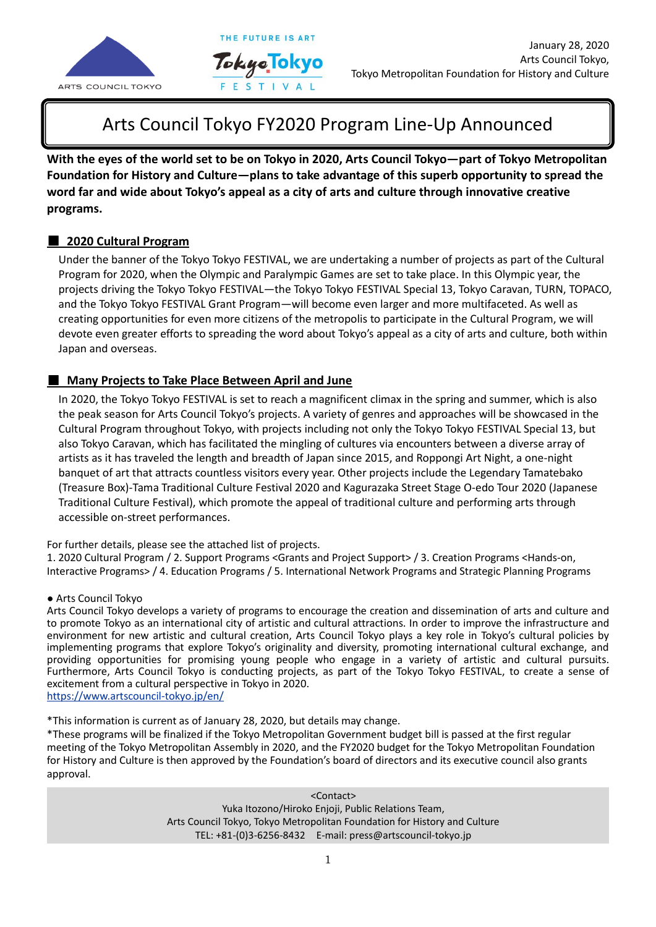

# Arts Council Tokyo FY2020 Program Line-Up Announced

THE FUTURE IS ART

Tokyo<sub>.</sub>Tok

**With the eyes of the world set to be on Tokyo in 2020, Arts Council Tokyo—part of Tokyo Metropolitan**  発表**Foundation for History and Culture—plans to take advantage of this superb opportunity to spread the word far and wide about Tokyo's appeal as a city of arts and culture through innovative creative programs.**

### ■ **2020 Cultural Program**

Under the banner of the Tokyo Tokyo FESTIVAL, we are undertaking a number of projects as part of the Cultural Program for 2020, when the Olympic and Paralympic Games are set to take place. In this Olympic year, the projects driving the Tokyo Tokyo FESTIVAL—the Tokyo Tokyo FESTIVAL Special 13, Tokyo Caravan, TURN, TOPACO, and the Tokyo Tokyo FESTIVAL Grant Program—will become even larger and more multifaceted. As well as creating opportunities for even more citizens of the metropolis to participate in the Cultural Program, we will devote even greater efforts to spreading the word about Tokyo's appeal as a city of arts and culture, both within Japan and overseas.

### ■ **Many Projects to Take Place Between April and June**

In 2020, the Tokyo Tokyo FESTIVAL is set to reach a magnificent climax in the spring and summer, which is also the peak season for Arts Council Tokyo's projects. A variety of genres and approaches will be showcased in the Cultural Program throughout Tokyo, with projects including not only the Tokyo Tokyo FESTIVAL Special 13, but also Tokyo Caravan, which has facilitated the mingling of cultures via encounters between a diverse array of artists as it has traveled the length and breadth of Japan since 2015, and Roppongi Art Night, a one-night banquet of art that attracts countless visitors every year. Other projects include the Legendary Tamatebako (Treasure Box)-Tama Traditional Culture Festival 2020 and Kagurazaka Street Stage O-edo Tour 2020 (Japanese Traditional Culture Festival), which promote the appeal of traditional culture and performing arts through accessible on-street performances.

#### For further details, please see the attached list of projects.

1. 2020 Cultural Program / 2. Support Programs <Grants and Project Support> / 3. Creation Programs <Hands-on, Interactive Programs> / 4. Education Programs / 5. International Network Programs and Strategic Planning Programs

#### ● Arts Council Tokyo

Arts Council Tokyo develops a variety of programs to encourage the creation and dissemination of arts and culture and to promote Tokyo as an international city of artistic and cultural attractions. In order to improve the infrastructure and environment for new artistic and cultural creation, Arts Council Tokyo plays a key role in Tokyo's cultural policies by implementing programs that explore Tokyo's originality and diversity, promoting international cultural exchange, and providing opportunities for promising young people who engage in a variety of artistic and cultural pursuits. Furthermore, Arts Council Tokyo is conducting projects, as part of the Tokyo Tokyo FESTIVAL, to create a sense of excitement from a cultural perspective in Tokyo in 2020.

<https://www.artscouncil-tokyo.jp/en/>

\*This information is current as of January 28, 2020, but details may change.

\*These programs will be finalized if the Tokyo Metropolitan Government budget bill is passed at the first regular meeting of the Tokyo Metropolitan Assembly in 2020, and the FY2020 budget for the Tokyo Metropolitan Foundation for History and Culture is then approved by the Foundation's board of directors and its executive council also grants approval.

> <Contact> Yuka Itozono/Hiroko Enjoji, Public Relations Team, Arts Council Tokyo, Tokyo Metropolitan Foundation for History and Culture TEL: +81-(0)3-6256-8432 E-mail: press@artscouncil-tokyo.jp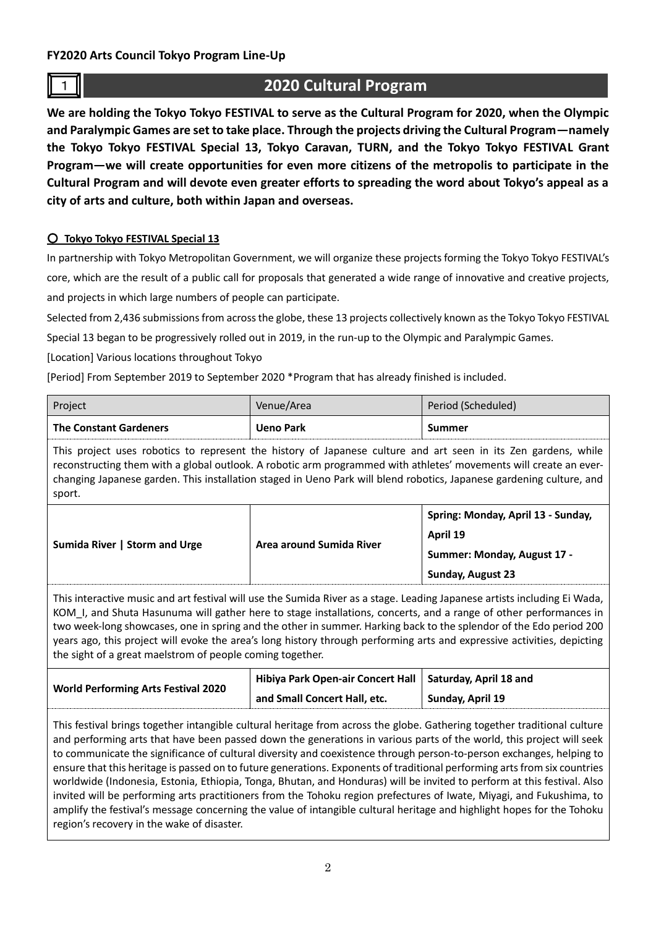**FY2020 Arts Council Tokyo Program Line-Up**

# <sup>1</sup> **2020 Cultural Program**

**We are holding the Tokyo Tokyo FESTIVAL to serve as the Cultural Program for 2020, when the Olympic and Paralympic Games are set to take place. Through the projects driving the Cultural Program—namely the Tokyo Tokyo FESTIVAL Special 13, Tokyo Caravan, TURN, and the Tokyo Tokyo FESTIVAL Grant Program—we will create opportunities for even more citizens of the metropolis to participate in the Cultural Program and will devote even greater efforts to spreading the word about Tokyo's appeal as a city of arts and culture, both within Japan and overseas.**

### ○ **Tokyo Tokyo FESTIVAL Special 13**

In partnership with Tokyo Metropolitan Government, we will organize these projects forming the Tokyo Tokyo FESTIVAL's core, which are the result of a public call for proposals that generated a wide range of innovative and creative projects, and projects in which large numbers of people can participate.

Selected from 2,436 submissions from across the globe, these 13 projects collectively known as the Tokyo Tokyo FESTIVAL

Special 13 began to be progressively rolled out in 2019, in the run-up to the Olympic and Paralympic Games.

[Location] Various locations throughout Tokyo

[Period] From September 2019 to September 2020 \*Program that has already finished is included.

| Project                       | Venue/Area       | Period (Scheduled) |
|-------------------------------|------------------|--------------------|
| <b>The Constant Gardeners</b> | <b>Ueno Park</b> | Summer             |

This project uses robotics to represent the history of Japanese culture and art seen in its Zen gardens, while reconstructing them with a global outlook. A robotic arm programmed with athletes' movements will create an everchanging Japanese garden. This installation staged in Ueno Park will blend robotics, Japanese gardening culture, and sport.

| Sumida River   Storm and Urge | Area around Sumida River | Spring: Monday, April 13 - Sunday, |
|-------------------------------|--------------------------|------------------------------------|
|                               |                          | April 19                           |
|                               |                          | Summer: Monday, August 17 -        |
|                               |                          | <b>Sunday, August 23</b>           |

This interactive music and art festival will use the Sumida River as a stage. Leading Japanese artists including Ei Wada, KOM I, and Shuta Hasunuma will gather here to stage installations, concerts, and a range of other performances in two week-long showcases, one in spring and the other in summer. Harking back to the splendor of the Edo period 200 years ago, this project will evoke the area's long history through performing arts and expressive activities, depicting the sight of a great maelstrom of people coming together.

|                                            | and Small Concert Hall, etc.                               | Sunday, April 19 |
|--------------------------------------------|------------------------------------------------------------|------------------|
| <b>World Performing Arts Festival 2020</b> | Hibiya Park Open-air Concert Hall   Saturday, April 18 and |                  |

This festival brings together intangible cultural heritage from across the globe. Gathering together traditional culture and performing arts that have been passed down the generations in various parts of the world, this project will seek to communicate the significance of cultural diversity and coexistence through person-to-person exchanges, helping to ensure that this heritage is passed on to future generations. Exponents of traditional performing arts from six countries worldwide (Indonesia, Estonia, Ethiopia, Tonga, Bhutan, and Honduras) will be invited to perform at this festival. Also invited will be performing arts practitioners from the Tohoku region prefectures of Iwate, Miyagi, and Fukushima, to amplify the festival's message concerning the value of intangible cultural heritage and highlight hopes for the Tohoku region's recovery in the wake of disaster.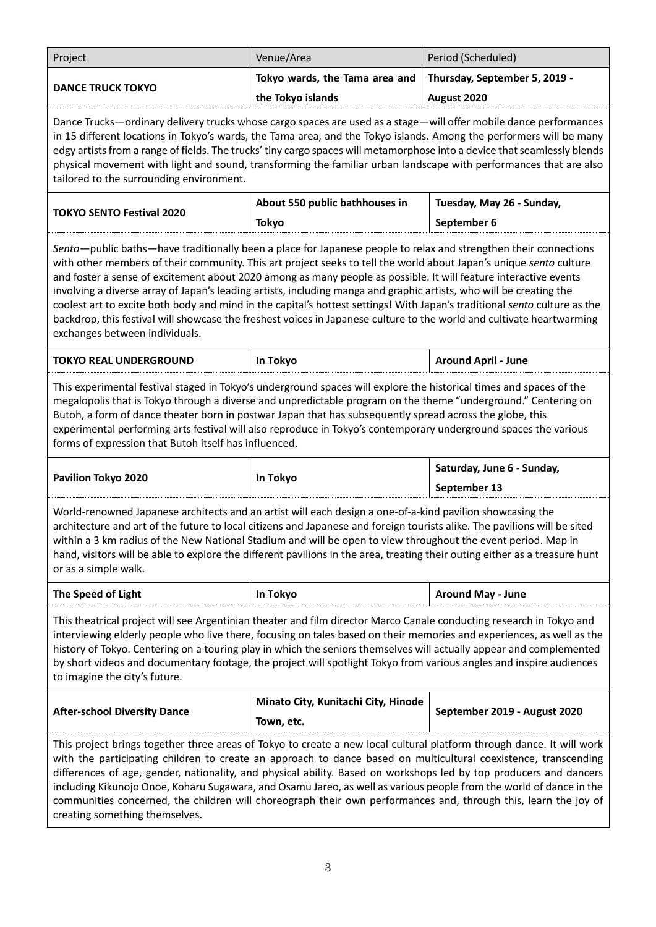| Project                                                                                                                                                                                                                                                                                                                                                                                                                                                                                                                                                                                                                                                                                                                                                                   | Venue/Area                                                                                 | Period (Scheduled)            |  |  |
|---------------------------------------------------------------------------------------------------------------------------------------------------------------------------------------------------------------------------------------------------------------------------------------------------------------------------------------------------------------------------------------------------------------------------------------------------------------------------------------------------------------------------------------------------------------------------------------------------------------------------------------------------------------------------------------------------------------------------------------------------------------------------|--------------------------------------------------------------------------------------------|-------------------------------|--|--|
|                                                                                                                                                                                                                                                                                                                                                                                                                                                                                                                                                                                                                                                                                                                                                                           | Tokyo wards, the Tama area and                                                             | Thursday, September 5, 2019 - |  |  |
| <b>DANCE TRUCK TOKYO</b>                                                                                                                                                                                                                                                                                                                                                                                                                                                                                                                                                                                                                                                                                                                                                  | the Tokyo islands                                                                          | August 2020                   |  |  |
| Dance Trucks—ordinary delivery trucks whose cargo spaces are used as a stage—will offer mobile dance performances<br>in 15 different locations in Tokyo's wards, the Tama area, and the Tokyo islands. Among the performers will be many<br>edgy artists from a range of fields. The trucks' tiny cargo spaces will metamorphose into a device that seamlessly blends<br>physical movement with light and sound, transforming the familiar urban landscape with performances that are also<br>tailored to the surrounding environment.                                                                                                                                                                                                                                    |                                                                                            |                               |  |  |
| <b>TOKYO SENTO Festival 2020</b>                                                                                                                                                                                                                                                                                                                                                                                                                                                                                                                                                                                                                                                                                                                                          | About 550 public bathhouses in<br>Tuesday, May 26 - Sunday,<br><b>Tokyo</b><br>September 6 |                               |  |  |
| Sento-public baths-have traditionally been a place for Japanese people to relax and strengthen their connections<br>with other members of their community. This art project seeks to tell the world about Japan's unique sento culture<br>and foster a sense of excitement about 2020 among as many people as possible. It will feature interactive events<br>involving a diverse array of Japan's leading artists, including manga and graphic artists, who will be creating the<br>coolest art to excite both body and mind in the capital's hottest settings! With Japan's traditional sento culture as the<br>backdrop, this festival will showcase the freshest voices in Japanese culture to the world and cultivate heartwarming<br>exchanges between individuals. |                                                                                            |                               |  |  |
| <b>TOKYO REAL UNDERGROUND</b>                                                                                                                                                                                                                                                                                                                                                                                                                                                                                                                                                                                                                                                                                                                                             | In Tokyo                                                                                   | <b>Around April - June</b>    |  |  |
| This experimental festival staged in Tokyo's underground spaces will explore the historical times and spaces of the<br>megalopolis that is Tokyo through a diverse and unpredictable program on the theme "underground." Centering on<br>Butoh, a form of dance theater born in postwar Japan that has subsequently spread across the globe, this<br>experimental performing arts festival will also reproduce in Tokyo's contemporary underground spaces the various<br>forms of expression that Butoh itself has influenced.                                                                                                                                                                                                                                            |                                                                                            |                               |  |  |
| Saturday, June 6 - Sunday,<br>Pavilion Tokyo 2020<br>In Tokyo                                                                                                                                                                                                                                                                                                                                                                                                                                                                                                                                                                                                                                                                                                             |                                                                                            |                               |  |  |
|                                                                                                                                                                                                                                                                                                                                                                                                                                                                                                                                                                                                                                                                                                                                                                           |                                                                                            | September 13                  |  |  |
| World-renowned Japanese architects and an artist will each design a one-of-a-kind pavilion showcasing the<br>architecture and art of the future to local citizens and Japanese and foreign tourists alike. The pavilions will be sited<br>within a 3 km radius of the New National Stadium and will be open to view throughout the event period. Map in<br>hand, visitors will be able to explore the different pavilions in the area, treating their outing either as a treasure hunt<br>or as a simple walk.                                                                                                                                                                                                                                                            |                                                                                            |                               |  |  |
| The Speed of Light                                                                                                                                                                                                                                                                                                                                                                                                                                                                                                                                                                                                                                                                                                                                                        | In Tokyo                                                                                   | <b>Around May - June</b>      |  |  |
| This theatrical project will see Argentinian theater and film director Marco Canale conducting research in Tokyo and<br>interviewing elderly people who live there, focusing on tales based on their memories and experiences, as well as the<br>history of Tokyo. Centering on a touring play in which the seniors themselves will actually appear and complemented<br>by short videos and documentary footage, the project will spotlight Tokyo from various angles and inspire audiences<br>to imagine the city's future.                                                                                                                                                                                                                                              |                                                                                            |                               |  |  |
| <b>After-school Diversity Dance</b>                                                                                                                                                                                                                                                                                                                                                                                                                                                                                                                                                                                                                                                                                                                                       | Minato City, Kunitachi City, Hinode<br>Town, etc.                                          | September 2019 - August 2020  |  |  |
| This project brings together three areas of Tokyo to create a new local cultural platform through dance. It will work<br>with the participating children to create an approach to dance based on multicultural coexistence, transcending<br>differences of age, gender, nationality, and physical ability. Based on workshops led by top producers and dancers<br>including Kikunojo Onoe, Koharu Sugawara, and Osamu Jareo, as well as various people from the world of dance in the<br>communities concerned, the children will choreograph their own performances and, through this, learn the joy of<br>creating something themselves.                                                                                                                                |                                                                                            |                               |  |  |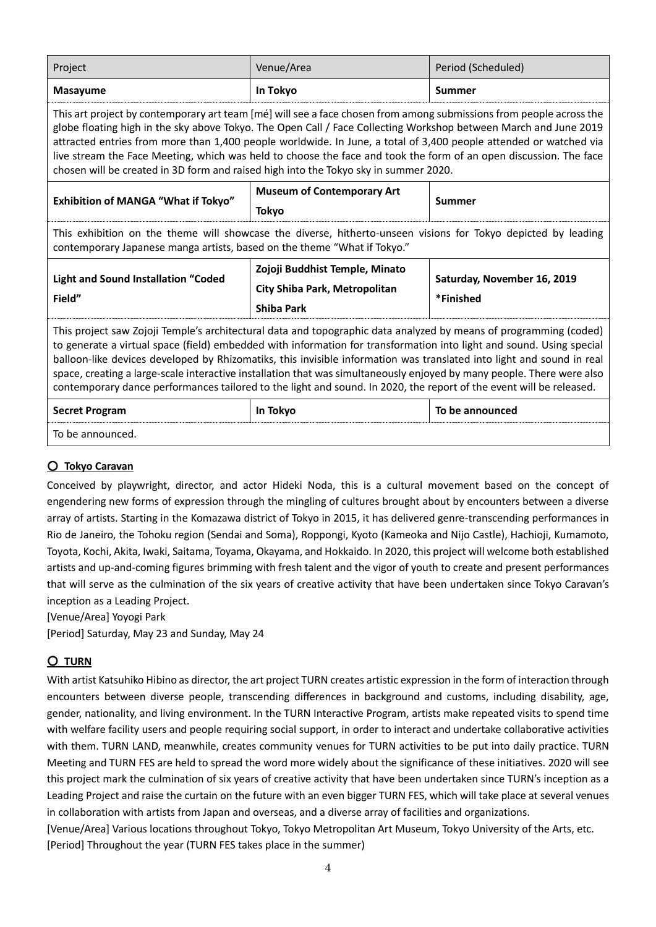| Project                                                                                                                                                                                                                                                                                                                                                                                                                                                                                                                                                                                                             | Venue/Area                                                                           | Period (Scheduled)                       |  |
|---------------------------------------------------------------------------------------------------------------------------------------------------------------------------------------------------------------------------------------------------------------------------------------------------------------------------------------------------------------------------------------------------------------------------------------------------------------------------------------------------------------------------------------------------------------------------------------------------------------------|--------------------------------------------------------------------------------------|------------------------------------------|--|
| <b>Masayume</b>                                                                                                                                                                                                                                                                                                                                                                                                                                                                                                                                                                                                     | In Tokyo                                                                             | Summer                                   |  |
| This art project by contemporary art team [mé] will see a face chosen from among submissions from people across the<br>globe floating high in the sky above Tokyo. The Open Call / Face Collecting Workshop between March and June 2019<br>attracted entries from more than 1,400 people worldwide. In June, a total of 3,400 people attended or watched via<br>live stream the Face Meeting, which was held to choose the face and took the form of an open discussion. The face<br>chosen will be created in 3D form and raised high into the Tokyo sky in summer 2020.                                           |                                                                                      |                                          |  |
| <b>Museum of Contemporary Art</b><br>Exhibition of MANGA "What if Tokyo"<br><b>Tokyo</b>                                                                                                                                                                                                                                                                                                                                                                                                                                                                                                                            |                                                                                      | Summer                                   |  |
| This exhibition on the theme will showcase the diverse, hitherto-unseen visions for Tokyo depicted by leading<br>contemporary Japanese manga artists, based on the theme "What if Tokyo."                                                                                                                                                                                                                                                                                                                                                                                                                           |                                                                                      |                                          |  |
| <b>Light and Sound Installation "Coded</b><br>Field"                                                                                                                                                                                                                                                                                                                                                                                                                                                                                                                                                                | Zojoji Buddhist Temple, Minato<br>City Shiba Park, Metropolitan<br><b>Shiba Park</b> | Saturday, November 16, 2019<br>*Finished |  |
| This project saw Zojoji Temple's architectural data and topographic data analyzed by means of programming (coded)<br>to generate a virtual space (field) embedded with information for transformation into light and sound. Using special<br>balloon-like devices developed by Rhizomatiks, this invisible information was translated into light and sound in real<br>space, creating a large-scale interactive installation that was simultaneously enjoyed by many people. There were also<br>contemporary dance performances tailored to the light and sound. In 2020, the report of the event will be released. |                                                                                      |                                          |  |
| <b>Secret Program</b>                                                                                                                                                                                                                                                                                                                                                                                                                                                                                                                                                                                               | In Tokyo                                                                             | To be announced                          |  |
| To be announced.                                                                                                                                                                                                                                                                                                                                                                                                                                                                                                                                                                                                    |                                                                                      |                                          |  |

### ○ **Tokyo Caravan**

Conceived by playwright, director, and actor Hideki Noda, this is a cultural movement based on the concept of engendering new forms of expression through the mingling of cultures brought about by encounters between a diverse array of artists. Starting in the Komazawa district of Tokyo in 2015, it has delivered genre-transcending performances in Rio de Janeiro, the Tohoku region (Sendai and Soma), Roppongi, Kyoto (Kameoka and Nijo Castle), Hachioji, Kumamoto, Toyota, Kochi, Akita, Iwaki, Saitama, Toyama, Okayama, and Hokkaido. In 2020, this project will welcome both established artists and up-and-coming figures brimming with fresh talent and the vigor of youth to create and present performances that will serve as the culmination of the six years of creative activity that have been undertaken since Tokyo Caravan's inception as a Leading Project.

[Venue/Area] Yoyogi Park

[Period] Saturday, May 23 and Sunday, May 24

### ○ **TURN**

With artist Katsuhiko Hibino as director, the art project TURN creates artistic expression in the form of interaction through encounters between diverse people, transcending differences in background and customs, including disability, age, gender, nationality, and living environment. In the TURN Interactive Program, artists make repeated visits to spend time with welfare facility users and people requiring social support, in order to interact and undertake collaborative activities with them. TURN LAND, meanwhile, creates community venues for TURN activities to be put into daily practice. TURN Meeting and TURN FES are held to spread the word more widely about the significance of these initiatives. 2020 will see this project mark the culmination of six years of creative activity that have been undertaken since TURN's inception as a Leading Project and raise the curtain on the future with an even bigger TURN FES, which will take place at several venues in collaboration with artists from Japan and overseas, and a diverse array of facilities and organizations.

[Venue/Area] Various locations throughout Tokyo, Tokyo Metropolitan Art Museum, Tokyo University of the Arts, etc. [Period] Throughout the year (TURN FES takes place in the summer)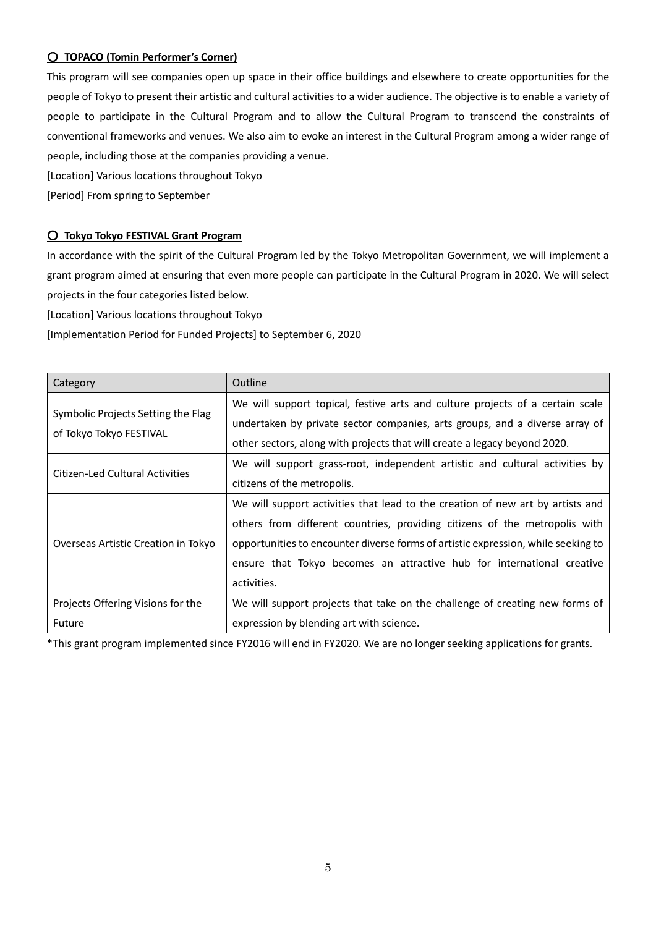### ○ **TOPACO (Tomin Performer's Corner)**

This program will see companies open up space in their office buildings and elsewhere to create opportunities for the people of Tokyo to present their artistic and cultural activities to a wider audience. The objective is to enable a variety of people to participate in the Cultural Program and to allow the Cultural Program to transcend the constraints of conventional frameworks and venues. We also aim to evoke an interest in the Cultural Program among a wider range of people, including those at the companies providing a venue.

[Location] Various locations throughout Tokyo

[Period] From spring to September

#### ○ **Tokyo Tokyo FESTIVAL Grant Program**

In accordance with the spirit of the Cultural Program led by the Tokyo Metropolitan Government, we will implement a grant program aimed at ensuring that even more people can participate in the Cultural Program in 2020. We will select projects in the four categories listed below.

[Location] Various locations throughout Tokyo

[Implementation Period for Funded Projects] to September 6, 2020

| Category                            | Outline                                                                           |
|-------------------------------------|-----------------------------------------------------------------------------------|
|                                     | We will support topical, festive arts and culture projects of a certain scale     |
| Symbolic Projects Setting the Flag  | undertaken by private sector companies, arts groups, and a diverse array of       |
| of Tokyo Tokyo FESTIVAL             | other sectors, along with projects that will create a legacy beyond 2020.         |
| Citizen-Led Cultural Activities     | We will support grass-root, independent artistic and cultural activities by       |
|                                     | citizens of the metropolis.                                                       |
|                                     | We will support activities that lead to the creation of new art by artists and    |
|                                     | others from different countries, providing citizens of the metropolis with        |
| Overseas Artistic Creation in Tokyo | opportunities to encounter diverse forms of artistic expression, while seeking to |
|                                     | ensure that Tokyo becomes an attractive hub for international creative            |
|                                     | activities.                                                                       |
| Projects Offering Visions for the   | We will support projects that take on the challenge of creating new forms of      |
| Future                              | expression by blending art with science.                                          |

\*This grant program implemented since FY2016 will end in FY2020. We are no longer seeking applications for grants.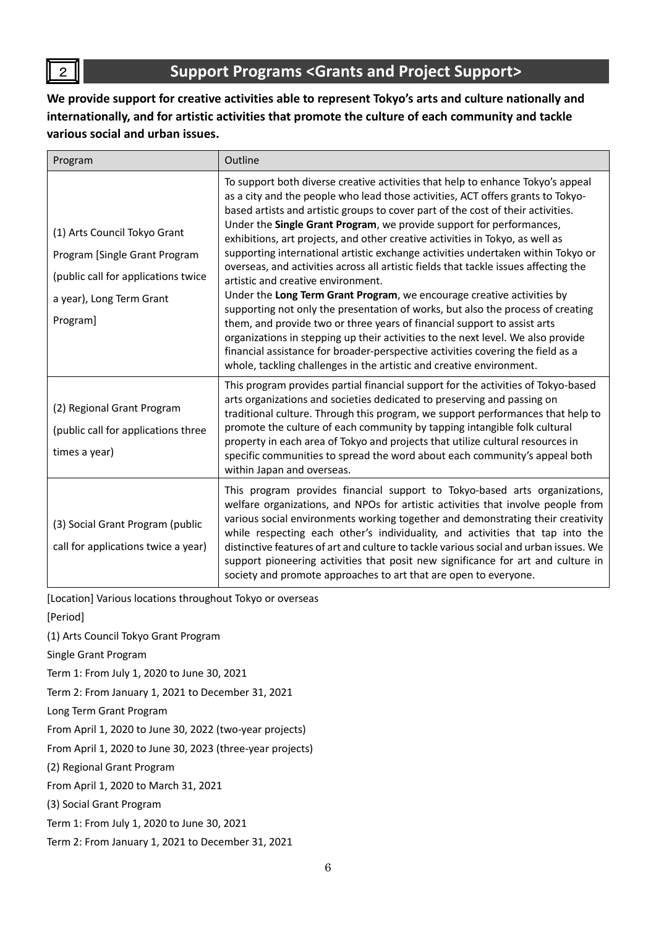# <sup>2</sup> **Support Programs <Grants and Project Support>**

**We provide support for creative activities able to represent Tokyo's arts and culture nationally and internationally, and for artistic activities that promote the culture of each community and tackle various social and urban issues.**

| Program                                                                                                                                      | Outline                                                                                                                                                                                                                                                                                                                                                                                                                                                                                                                                                                                                                                                                                                                                                                                                                                                                                                                                                                                                                                                                                                                   |
|----------------------------------------------------------------------------------------------------------------------------------------------|---------------------------------------------------------------------------------------------------------------------------------------------------------------------------------------------------------------------------------------------------------------------------------------------------------------------------------------------------------------------------------------------------------------------------------------------------------------------------------------------------------------------------------------------------------------------------------------------------------------------------------------------------------------------------------------------------------------------------------------------------------------------------------------------------------------------------------------------------------------------------------------------------------------------------------------------------------------------------------------------------------------------------------------------------------------------------------------------------------------------------|
| (1) Arts Council Tokyo Grant<br>Program [Single Grant Program<br>(public call for applications twice<br>a year), Long Term Grant<br>Program] | To support both diverse creative activities that help to enhance Tokyo's appeal<br>as a city and the people who lead those activities, ACT offers grants to Tokyo-<br>based artists and artistic groups to cover part of the cost of their activities.<br>Under the Single Grant Program, we provide support for performances,<br>exhibitions, art projects, and other creative activities in Tokyo, as well as<br>supporting international artistic exchange activities undertaken within Tokyo or<br>overseas, and activities across all artistic fields that tackle issues affecting the<br>artistic and creative environment.<br>Under the Long Term Grant Program, we encourage creative activities by<br>supporting not only the presentation of works, but also the process of creating<br>them, and provide two or three years of financial support to assist arts<br>organizations in stepping up their activities to the next level. We also provide<br>financial assistance for broader-perspective activities covering the field as a<br>whole, tackling challenges in the artistic and creative environment. |
| (2) Regional Grant Program<br>(public call for applications three<br>times a year)                                                           | This program provides partial financial support for the activities of Tokyo-based<br>arts organizations and societies dedicated to preserving and passing on<br>traditional culture. Through this program, we support performances that help to<br>promote the culture of each community by tapping intangible folk cultural<br>property in each area of Tokyo and projects that utilize cultural resources in<br>specific communities to spread the word about each community's appeal both<br>within Japan and overseas.                                                                                                                                                                                                                                                                                                                                                                                                                                                                                                                                                                                                |
| (3) Social Grant Program (public<br>call for applications twice a year)                                                                      | This program provides financial support to Tokyo-based arts organizations,<br>welfare organizations, and NPOs for artistic activities that involve people from<br>various social environments working together and demonstrating their creativity<br>while respecting each other's individuality, and activities that tap into the<br>distinctive features of art and culture to tackle various social and urban issues. We<br>support pioneering activities that posit new significance for art and culture in<br>society and promote approaches to art that are open to everyone.                                                                                                                                                                                                                                                                                                                                                                                                                                                                                                                                       |

[Location] Various locations throughout Tokyo or overseas

[Period]

(1) Arts Council Tokyo Grant Program

Single Grant Program

Term 1: From July 1, 2020 to June 30, 2021

Term 2: From January 1, 2021 to December 31, 2021

Long Term Grant Program

From April 1, 2020 to June 30, 2022 (two-year projects)

From April 1, 2020 to June 30, 2023 (three-year projects)

(2) Regional Grant Program

From April 1, 2020 to March 31, 2021

(3) Social Grant Program

Term 1: From July 1, 2020 to June 30, 2021

Term 2: From January 1, 2021 to December 31, 2021

 $\overline{2}$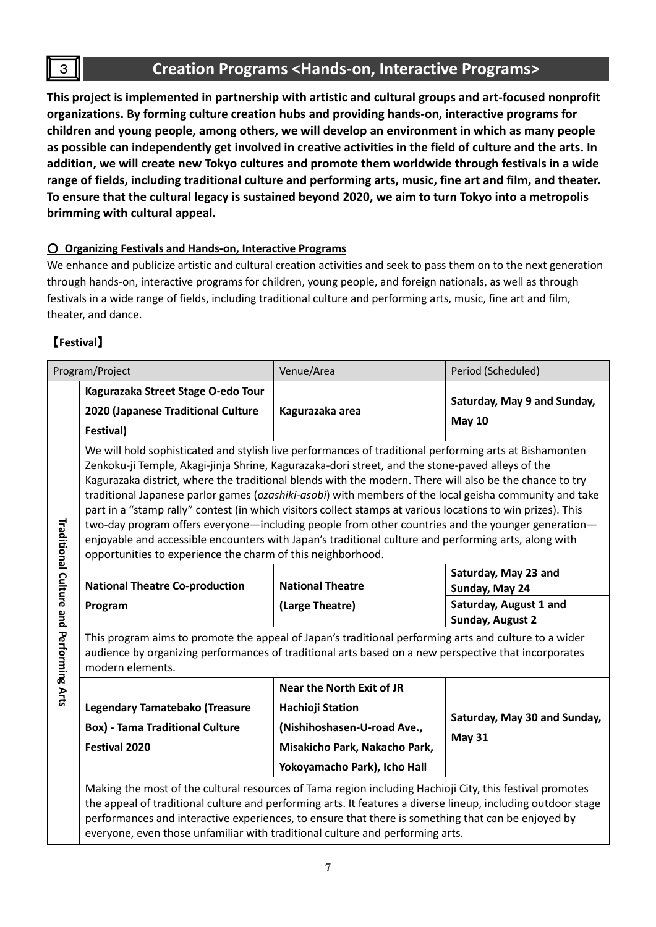### <sup>3</sup> **Creation Programs <Hands-on, Interactive Programs>**

**This project is implemented in partnership with artistic and cultural groups and art-focused nonprofit organizations. By forming culture creation hubs and providing hands-on, interactive programs for children and young people, among others, we will develop an environment in which as many people as possible can independently get involved in creative activities in the field of culture and the arts. In addition, we will create new Tokyo cultures and promote them worldwide through festivals in a wide range of fields, including traditional culture and performing arts, music, fine art and film, and theater. To ensure that the cultural legacy is sustained beyond 2020, we aim to turn Tokyo into a metropolis brimming with cultural appeal.**

### ○ **Organizing Festivals and Hands-on, Interactive Programs**

We enhance and publicize artistic and cultural creation activities and seek to pass them on to the next generation through hands-on, interactive programs for children, young people, and foreign nationals, as well as through festivals in a wide range of fields, including traditional culture and performing arts, music, fine art and film, theater, and dance.

### 【**Festival**】

—<br>—

| Program/Project                                                                                                                                                                                                                                                                                                                                                                                                 |                                                                                                                                                                                                                                                                                                                                                                                                                                                                                                                                                                                                                                                                                                                                                                                                                            | Venue/Area                       | Period (Scheduled)                           |
|-----------------------------------------------------------------------------------------------------------------------------------------------------------------------------------------------------------------------------------------------------------------------------------------------------------------------------------------------------------------------------------------------------------------|----------------------------------------------------------------------------------------------------------------------------------------------------------------------------------------------------------------------------------------------------------------------------------------------------------------------------------------------------------------------------------------------------------------------------------------------------------------------------------------------------------------------------------------------------------------------------------------------------------------------------------------------------------------------------------------------------------------------------------------------------------------------------------------------------------------------------|----------------------------------|----------------------------------------------|
|                                                                                                                                                                                                                                                                                                                                                                                                                 | Kagurazaka Street Stage O-edo Tour<br>2020 (Japanese Traditional Culture<br>Festival)                                                                                                                                                                                                                                                                                                                                                                                                                                                                                                                                                                                                                                                                                                                                      | Kagurazaka area                  | Saturday, May 9 and Sunday,<br><b>May 10</b> |
|                                                                                                                                                                                                                                                                                                                                                                                                                 | We will hold sophisticated and stylish live performances of traditional performing arts at Bishamonten<br>Zenkoku-ji Temple, Akagi-jinja Shrine, Kagurazaka-dori street, and the stone-paved alleys of the<br>Kagurazaka district, where the traditional blends with the modern. There will also be the chance to try<br>traditional Japanese parlor games (ozashiki-asobi) with members of the local geisha community and take<br>part in a "stamp rally" contest (in which visitors collect stamps at various locations to win prizes). This<br>two-day program offers everyone—including people from other countries and the younger generation—<br>enjoyable and accessible encounters with Japan's traditional culture and performing arts, along with<br>opportunities to experience the charm of this neighborhood. |                                  |                                              |
|                                                                                                                                                                                                                                                                                                                                                                                                                 | <b>National Theatre Co-production</b>                                                                                                                                                                                                                                                                                                                                                                                                                                                                                                                                                                                                                                                                                                                                                                                      | <b>National Theatre</b>          | Saturday, May 23 and<br>Sunday, May 24       |
|                                                                                                                                                                                                                                                                                                                                                                                                                 | Program                                                                                                                                                                                                                                                                                                                                                                                                                                                                                                                                                                                                                                                                                                                                                                                                                    | (Large Theatre)                  | Saturday, August 1 and<br>Sunday, August 2   |
| Traditional Culture and Performing Arts                                                                                                                                                                                                                                                                                                                                                                         | This program aims to promote the appeal of Japan's traditional performing arts and culture to a wider<br>audience by organizing performances of traditional arts based on a new perspective that incorporates<br>modern elements.                                                                                                                                                                                                                                                                                                                                                                                                                                                                                                                                                                                          |                                  |                                              |
|                                                                                                                                                                                                                                                                                                                                                                                                                 |                                                                                                                                                                                                                                                                                                                                                                                                                                                                                                                                                                                                                                                                                                                                                                                                                            | <b>Near the North Exit of JR</b> |                                              |
|                                                                                                                                                                                                                                                                                                                                                                                                                 | Legendary Tamatebako (Treasure                                                                                                                                                                                                                                                                                                                                                                                                                                                                                                                                                                                                                                                                                                                                                                                             | <b>Hachioji Station</b>          | Saturday, May 30 and Sunday,                 |
|                                                                                                                                                                                                                                                                                                                                                                                                                 | <b>Box) - Tama Traditional Culture</b>                                                                                                                                                                                                                                                                                                                                                                                                                                                                                                                                                                                                                                                                                                                                                                                     | (Nishihoshasen-U-road Ave.,      | <b>May 31</b>                                |
|                                                                                                                                                                                                                                                                                                                                                                                                                 | <b>Festival 2020</b>                                                                                                                                                                                                                                                                                                                                                                                                                                                                                                                                                                                                                                                                                                                                                                                                       | Misakicho Park, Nakacho Park,    |                                              |
|                                                                                                                                                                                                                                                                                                                                                                                                                 |                                                                                                                                                                                                                                                                                                                                                                                                                                                                                                                                                                                                                                                                                                                                                                                                                            | Yokoyamacho Park), Icho Hall     |                                              |
| Making the most of the cultural resources of Tama region including Hachioji City, this festival promotes<br>the appeal of traditional culture and performing arts. It features a diverse lineup, including outdoor stage<br>performances and interactive experiences, to ensure that there is something that can be enjoyed by<br>everyone, even those unfamiliar with traditional culture and performing arts. |                                                                                                                                                                                                                                                                                                                                                                                                                                                                                                                                                                                                                                                                                                                                                                                                                            |                                  |                                              |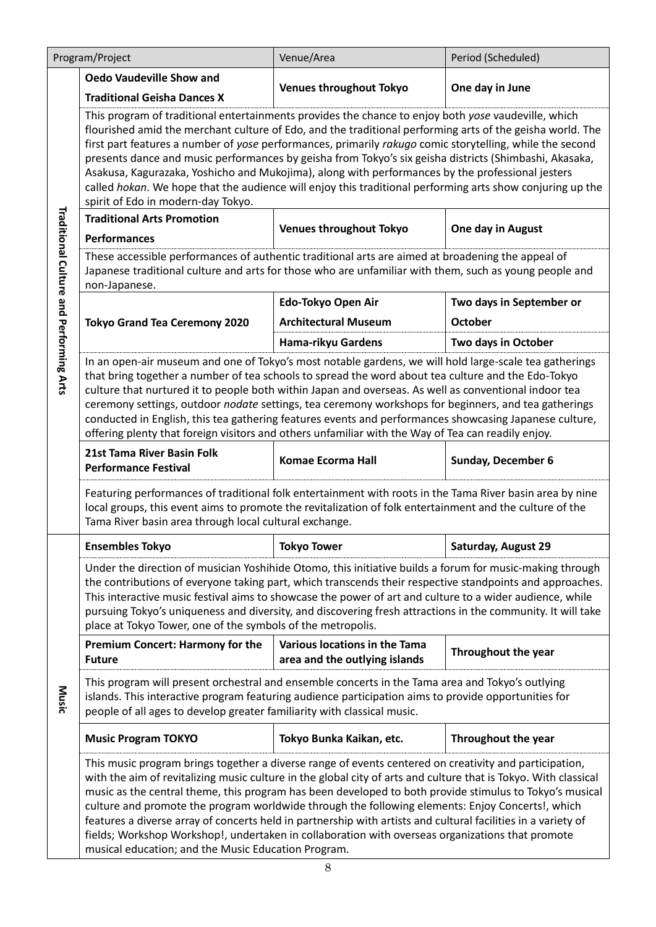| Program/Project                         |                                                                                                                                                                                                                                                                                                                                                                                                                                                                                                                                                                                                                                                                                                                      | Venue/Area                                                     | Period (Scheduled)         |  |
|-----------------------------------------|----------------------------------------------------------------------------------------------------------------------------------------------------------------------------------------------------------------------------------------------------------------------------------------------------------------------------------------------------------------------------------------------------------------------------------------------------------------------------------------------------------------------------------------------------------------------------------------------------------------------------------------------------------------------------------------------------------------------|----------------------------------------------------------------|----------------------------|--|
|                                         | <b>Oedo Vaudeville Show and</b>                                                                                                                                                                                                                                                                                                                                                                                                                                                                                                                                                                                                                                                                                      | <b>Venues throughout Tokyo</b>                                 | One day in June            |  |
|                                         | <b>Traditional Geisha Dances X</b>                                                                                                                                                                                                                                                                                                                                                                                                                                                                                                                                                                                                                                                                                   |                                                                |                            |  |
|                                         | This program of traditional entertainments provides the chance to enjoy both yose vaudeville, which<br>flourished amid the merchant culture of Edo, and the traditional performing arts of the geisha world. The<br>first part features a number of yose performances, primarily rakugo comic storytelling, while the second<br>presents dance and music performances by geisha from Tokyo's six geisha districts (Shimbashi, Akasaka,<br>Asakusa, Kagurazaka, Yoshicho and Mukojima), along with performances by the professional jesters<br>called hokan. We hope that the audience will enjoy this traditional performing arts show conjuring up the<br>spirit of Edo in modern-day Tokyo.                        |                                                                |                            |  |
|                                         | <b>Traditional Arts Promotion</b>                                                                                                                                                                                                                                                                                                                                                                                                                                                                                                                                                                                                                                                                                    |                                                                |                            |  |
|                                         | <b>Performances</b>                                                                                                                                                                                                                                                                                                                                                                                                                                                                                                                                                                                                                                                                                                  | <b>Venues throughout Tokyo</b>                                 | One day in August          |  |
| Traditional Culture and Performing Arts | These accessible performances of authentic traditional arts are aimed at broadening the appeal of<br>Japanese traditional culture and arts for those who are unfamiliar with them, such as young people and<br>non-Japanese.                                                                                                                                                                                                                                                                                                                                                                                                                                                                                         |                                                                |                            |  |
|                                         |                                                                                                                                                                                                                                                                                                                                                                                                                                                                                                                                                                                                                                                                                                                      | Edo-Tokyo Open Air                                             | Two days in September or   |  |
|                                         | <b>Tokyo Grand Tea Ceremony 2020</b>                                                                                                                                                                                                                                                                                                                                                                                                                                                                                                                                                                                                                                                                                 | <b>Architectural Museum</b>                                    | <b>October</b>             |  |
|                                         |                                                                                                                                                                                                                                                                                                                                                                                                                                                                                                                                                                                                                                                                                                                      | Hama-rikyu Gardens                                             | Two days in October        |  |
|                                         | In an open-air museum and one of Tokyo's most notable gardens, we will hold large-scale tea gatherings<br>that bring together a number of tea schools to spread the word about tea culture and the Edo-Tokyo<br>culture that nurtured it to people both within Japan and overseas. As well as conventional indoor tea<br>ceremony settings, outdoor nodate settings, tea ceremony workshops for beginners, and tea gatherings<br>conducted in English, this tea gathering features events and performances showcasing Japanese culture,<br>offering plenty that foreign visitors and others unfamiliar with the Way of Tea can readily enjoy.                                                                        |                                                                |                            |  |
|                                         | 21st Tama River Basin Folk<br><b>Performance Festival</b>                                                                                                                                                                                                                                                                                                                                                                                                                                                                                                                                                                                                                                                            | <b>Komae Ecorma Hall</b>                                       | Sunday, December 6         |  |
|                                         | Featuring performances of traditional folk entertainment with roots in the Tama River basin area by nine<br>local groups, this event aims to promote the revitalization of folk entertainment and the culture of the<br>Tama River basin area through local cultural exchange.                                                                                                                                                                                                                                                                                                                                                                                                                                       |                                                                |                            |  |
|                                         | <b>Ensembles Tokyo</b>                                                                                                                                                                                                                                                                                                                                                                                                                                                                                                                                                                                                                                                                                               | <b>Tokyo Tower</b>                                             | Saturday, August 29        |  |
|                                         | Under the direction of musician Yoshihide Otomo, this initiative builds a forum for music-making through<br>the contributions of everyone taking part, which transcends their respective standpoints and approaches.<br>This interactive music festival aims to showcase the power of art and culture to a wider audience, while<br>pursuing Tokyo's uniqueness and diversity, and discovering fresh attractions in the community. It will take<br>place at Tokyo Tower, one of the symbols of the metropolis.                                                                                                                                                                                                       |                                                                |                            |  |
|                                         | <b>Premium Concert: Harmony for the</b><br><b>Future</b>                                                                                                                                                                                                                                                                                                                                                                                                                                                                                                                                                                                                                                                             | Various locations in the Tama<br>area and the outlying islands | <b>Throughout the year</b> |  |
| Music                                   | This program will present orchestral and ensemble concerts in the Tama area and Tokyo's outlying<br>islands. This interactive program featuring audience participation aims to provide opportunities for<br>people of all ages to develop greater familiarity with classical music.                                                                                                                                                                                                                                                                                                                                                                                                                                  |                                                                |                            |  |
|                                         | <b>Music Program TOKYO</b>                                                                                                                                                                                                                                                                                                                                                                                                                                                                                                                                                                                                                                                                                           | Tokyo Bunka Kaikan, etc.                                       | <b>Throughout the year</b> |  |
|                                         | This music program brings together a diverse range of events centered on creativity and participation,<br>with the aim of revitalizing music culture in the global city of arts and culture that is Tokyo. With classical<br>music as the central theme, this program has been developed to both provide stimulus to Tokyo's musical<br>culture and promote the program worldwide through the following elements: Enjoy Concerts!, which<br>features a diverse array of concerts held in partnership with artists and cultural facilities in a variety of<br>fields; Workshop Workshop!, undertaken in collaboration with overseas organizations that promote<br>musical education; and the Music Education Program. |                                                                |                            |  |

 $\mathsf{l}$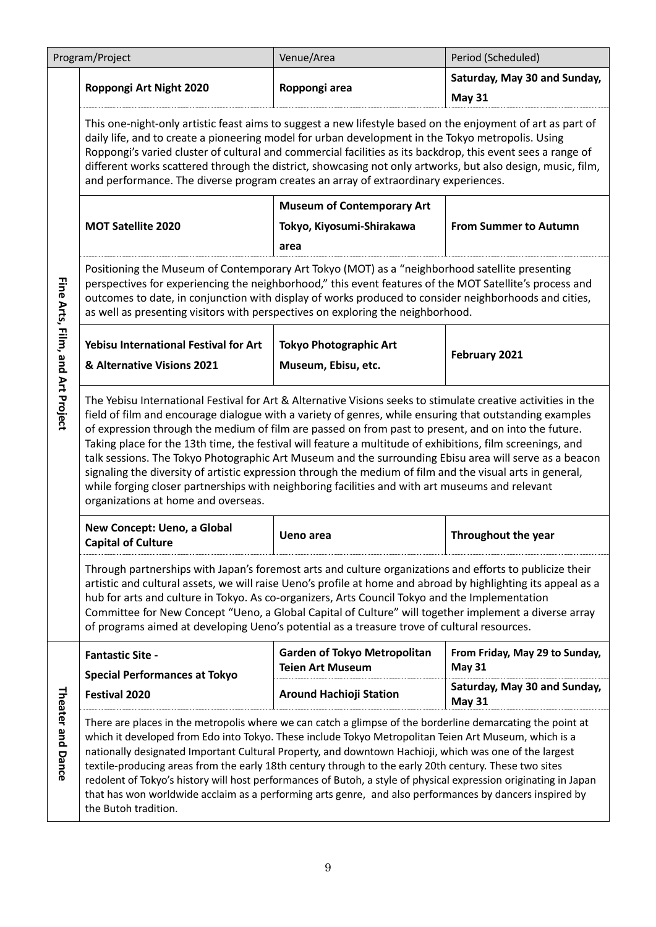|                                  | Program/Project                                                                                                                                                                                                                                                                                                                                                                                                                                                                                                                                                                                                                                                                                                                                                                                                 | Venue/Area                                                     | Period (Scheduled)                              |  |
|----------------------------------|-----------------------------------------------------------------------------------------------------------------------------------------------------------------------------------------------------------------------------------------------------------------------------------------------------------------------------------------------------------------------------------------------------------------------------------------------------------------------------------------------------------------------------------------------------------------------------------------------------------------------------------------------------------------------------------------------------------------------------------------------------------------------------------------------------------------|----------------------------------------------------------------|-------------------------------------------------|--|
|                                  | Roppongi Art Night 2020                                                                                                                                                                                                                                                                                                                                                                                                                                                                                                                                                                                                                                                                                                                                                                                         | Roppongi area                                                  | Saturday, May 30 and Sunday,<br><b>May 31</b>   |  |
|                                  | This one-night-only artistic feast aims to suggest a new lifestyle based on the enjoyment of art as part of<br>daily life, and to create a pioneering model for urban development in the Tokyo metropolis. Using<br>Roppongi's varied cluster of cultural and commercial facilities as its backdrop, this event sees a range of<br>different works scattered through the district, showcasing not only artworks, but also design, music, film,<br>and performance. The diverse program creates an array of extraordinary experiences.                                                                                                                                                                                                                                                                           |                                                                |                                                 |  |
|                                  | <b>Museum of Contemporary Art</b>                                                                                                                                                                                                                                                                                                                                                                                                                                                                                                                                                                                                                                                                                                                                                                               |                                                                |                                                 |  |
|                                  | <b>MOT Satellite 2020</b>                                                                                                                                                                                                                                                                                                                                                                                                                                                                                                                                                                                                                                                                                                                                                                                       | Tokyo, Kiyosumi-Shirakawa<br>area                              | <b>From Summer to Autumn</b>                    |  |
| Fine Arts, Film, and Art Project | Positioning the Museum of Contemporary Art Tokyo (MOT) as a "neighborhood satellite presenting<br>perspectives for experiencing the neighborhood," this event features of the MOT Satellite's process and<br>outcomes to date, in conjunction with display of works produced to consider neighborhoods and cities,<br>as well as presenting visitors with perspectives on exploring the neighborhood.                                                                                                                                                                                                                                                                                                                                                                                                           |                                                                |                                                 |  |
|                                  | Yebisu International Festival for Art                                                                                                                                                                                                                                                                                                                                                                                                                                                                                                                                                                                                                                                                                                                                                                           | <b>Tokyo Photographic Art</b>                                  |                                                 |  |
|                                  | & Alternative Visions 2021                                                                                                                                                                                                                                                                                                                                                                                                                                                                                                                                                                                                                                                                                                                                                                                      | Museum, Ebisu, etc.                                            | February 2021                                   |  |
|                                  | The Yebisu International Festival for Art & Alternative Visions seeks to stimulate creative activities in the<br>field of film and encourage dialogue with a variety of genres, while ensuring that outstanding examples<br>of expression through the medium of film are passed on from past to present, and on into the future.<br>Taking place for the 13th time, the festival will feature a multitude of exhibitions, film screenings, and<br>talk sessions. The Tokyo Photographic Art Museum and the surrounding Ebisu area will serve as a beacon<br>signaling the diversity of artistic expression through the medium of film and the visual arts in general,<br>while forging closer partnerships with neighboring facilities and with art museums and relevant<br>organizations at home and overseas. |                                                                |                                                 |  |
|                                  | New Concept: Ueno, a Global<br><b>Capital of Culture</b>                                                                                                                                                                                                                                                                                                                                                                                                                                                                                                                                                                                                                                                                                                                                                        | <b>Ueno area</b>                                               | Throughout the year                             |  |
|                                  | Through partnerships with Japan's foremost arts and culture organizations and efforts to publicize their<br>artistic and cultural assets, we will raise Ueno's profile at home and abroad by highlighting its appeal as a<br>hub for arts and culture in Tokyo. As co-organizers, Arts Council Tokyo and the Implementation<br>Committee for New Concept "Ueno, a Global Capital of Culture" will together implement a diverse array<br>of programs aimed at developing Ueno's potential as a treasure trove of cultural resources.                                                                                                                                                                                                                                                                             |                                                                |                                                 |  |
|                                  | <b>Fantastic Site -</b><br><b>Special Performances at Tokyo</b>                                                                                                                                                                                                                                                                                                                                                                                                                                                                                                                                                                                                                                                                                                                                                 | <b>Garden of Tokyo Metropolitan</b><br><b>Teien Art Museum</b> | From Friday, May 29 to Sunday,<br><b>May 31</b> |  |
|                                  | <b>Festival 2020</b>                                                                                                                                                                                                                                                                                                                                                                                                                                                                                                                                                                                                                                                                                                                                                                                            | <b>Around Hachioji Station</b>                                 | Saturday, May 30 and Sunday,<br><b>May 31</b>   |  |
| Theater and Dance                | There are places in the metropolis where we can catch a glimpse of the borderline demarcating the point at<br>which it developed from Edo into Tokyo. These include Tokyo Metropolitan Teien Art Museum, which is a<br>nationally designated Important Cultural Property, and downtown Hachioji, which was one of the largest<br>textile-producing areas from the early 18th century through to the early 20th century. These two sites<br>redolent of Tokyo's history will host performances of Butoh, a style of physical expression originating in Japan<br>that has won worldwide acclaim as a performing arts genre, and also performances by dancers inspired by<br>the Butoh tradition.                                                                                                                  |                                                                |                                                 |  |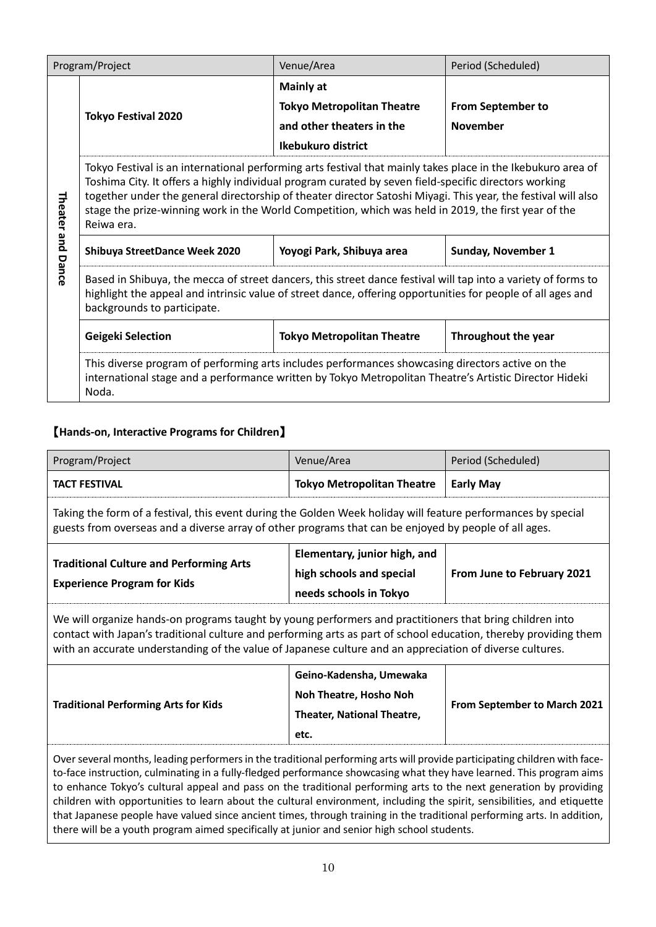| Program/Project |                                                                                                                                                                                                                                                                                                                                                                                                                                                              | Venue/Area                                            | Period (Scheduled)       |
|-----------------|--------------------------------------------------------------------------------------------------------------------------------------------------------------------------------------------------------------------------------------------------------------------------------------------------------------------------------------------------------------------------------------------------------------------------------------------------------------|-------------------------------------------------------|--------------------------|
|                 |                                                                                                                                                                                                                                                                                                                                                                                                                                                              | <b>Mainly at</b><br><b>Tokyo Metropolitan Theatre</b> | <b>From September to</b> |
|                 | <b>Tokyo Festival 2020</b>                                                                                                                                                                                                                                                                                                                                                                                                                                   | and other theaters in the                             | <b>November</b>          |
|                 |                                                                                                                                                                                                                                                                                                                                                                                                                                                              | Ikebukuro district                                    |                          |
| Theater and     | Tokyo Festival is an international performing arts festival that mainly takes place in the Ikebukuro area of<br>Toshima City. It offers a highly individual program curated by seven field-specific directors working<br>together under the general directorship of theater director Satoshi Miyagi. This year, the festival will also<br>stage the prize-winning work in the World Competition, which was held in 2019, the first year of the<br>Reiwa era. |                                                       |                          |
|                 | Yoyogi Park, Shibuya area<br><b>Sunday, November 1</b><br>Shibuya StreetDance Week 2020                                                                                                                                                                                                                                                                                                                                                                      |                                                       |                          |
| Dance           | Based in Shibuya, the mecca of street dancers, this street dance festival will tap into a variety of forms to<br>highlight the appeal and intrinsic value of street dance, offering opportunities for people of all ages and<br>backgrounds to participate.                                                                                                                                                                                                  |                                                       |                          |
|                 | <b>Geigeki Selection</b>                                                                                                                                                                                                                                                                                                                                                                                                                                     | Throughout the year                                   |                          |
|                 | This diverse program of performing arts includes performances showcasing directors active on the<br>international stage and a performance written by Tokyo Metropolitan Theatre's Artistic Director Hideki<br>Noda.                                                                                                                                                                                                                                          |                                                       |                          |

# 【**Hands-on, Interactive Programs for Children**】

| Program/Project                                                                                                                                                                                                                                                                                                                                                                                                                                                                                                                                                                                                                                                                                                              | Venue/Area                                                                                                                                                                                                             | Period (Scheduled)         |  |  |
|------------------------------------------------------------------------------------------------------------------------------------------------------------------------------------------------------------------------------------------------------------------------------------------------------------------------------------------------------------------------------------------------------------------------------------------------------------------------------------------------------------------------------------------------------------------------------------------------------------------------------------------------------------------------------------------------------------------------------|------------------------------------------------------------------------------------------------------------------------------------------------------------------------------------------------------------------------|----------------------------|--|--|
| <b>TACT FESTIVAL</b>                                                                                                                                                                                                                                                                                                                                                                                                                                                                                                                                                                                                                                                                                                         | <b>Tokyo Metropolitan Theatre</b>                                                                                                                                                                                      | <b>Early May</b>           |  |  |
|                                                                                                                                                                                                                                                                                                                                                                                                                                                                                                                                                                                                                                                                                                                              | Taking the form of a festival, this event during the Golden Week holiday will feature performances by special<br>guests from overseas and a diverse array of other programs that can be enjoyed by people of all ages. |                            |  |  |
| Elementary, junior high, and<br><b>Traditional Culture and Performing Arts</b><br>high schools and special<br><b>Experience Program for Kids</b><br>needs schools in Tokyo                                                                                                                                                                                                                                                                                                                                                                                                                                                                                                                                                   |                                                                                                                                                                                                                        | From June to February 2021 |  |  |
| We will organize hands-on programs taught by young performers and practitioners that bring children into<br>contact with Japan's traditional culture and performing arts as part of school education, thereby providing them<br>with an accurate understanding of the value of Japanese culture and an appreciation of diverse cultures.                                                                                                                                                                                                                                                                                                                                                                                     |                                                                                                                                                                                                                        |                            |  |  |
| Geino-Kadensha, Umewaka<br>Noh Theatre, Hosho Noh<br><b>Traditional Performing Arts for Kids</b><br>From September to March 2021<br>Theater, National Theatre,<br>etc.                                                                                                                                                                                                                                                                                                                                                                                                                                                                                                                                                       |                                                                                                                                                                                                                        |                            |  |  |
| Over several months, leading performers in the traditional performing arts will provide participating children with face-<br>to-face instruction, culminating in a fully-fledged performance showcasing what they have learned. This program aims<br>to enhance Tokyo's cultural appeal and pass on the traditional performing arts to the next generation by providing<br>children with opportunities to learn about the cultural environment, including the spirit, sensibilities, and etiquette<br>that Japanese people have valued since ancient times, through training in the traditional performing arts. In addition,<br>there will be a youth program aimed specifically at junior and senior high school students. |                                                                                                                                                                                                                        |                            |  |  |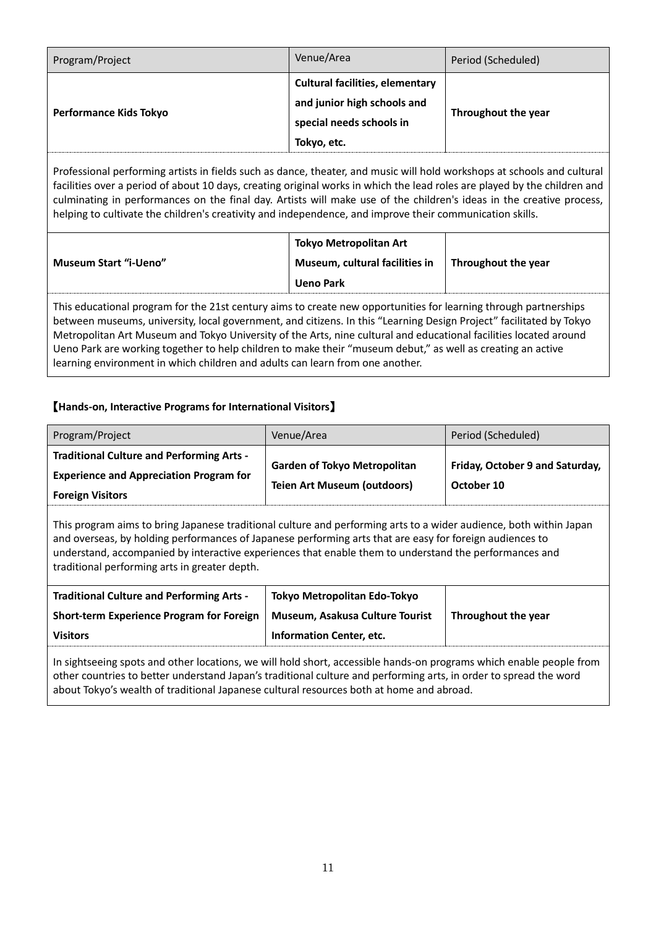| Program/Project               | Venue/Area                                                                                                       | Period (Scheduled)  |
|-------------------------------|------------------------------------------------------------------------------------------------------------------|---------------------|
| <b>Performance Kids Tokyo</b> | <b>Cultural facilities, elementary</b><br>and junior high schools and<br>special needs schools in<br>Tokyo, etc. | Throughout the year |

Professional performing artists in fields such as dance, theater, and music will hold workshops at schools and cultural facilities over a period of about 10 days, creating original works in which the lead roles are played by the children and culminating in performances on the final day. Artists will make use of the children's ideas in the creative process, helping to cultivate the children's creativity and independence, and improve their communication skills.

| <b>Museum Start "i-Ueno"</b> | <b>Tokyo Metropolitan Art</b><br>Museum, cultural facilities in $\parallel$ Throughout the year<br><b>Ueno Park</b> |  |
|------------------------------|---------------------------------------------------------------------------------------------------------------------|--|
|                              |                                                                                                                     |  |

This educational program for the 21st century aims to create new opportunities for learning through partnerships between museums, university, local government, and citizens. In this "Learning Design Project" facilitated by Tokyo Metropolitan Art Museum and Tokyo University of the Arts, nine cultural and educational facilities located around Ueno Park are working together to help children to make their "museum debut," as well as creating an active learning environment in which children and adults can learn from one another.

### 【**Hands-on, Interactive Programs for International Visitors**】

| Program/Project                                  | Venue/Area                          | Period (Scheduled)              |
|--------------------------------------------------|-------------------------------------|---------------------------------|
| <b>Traditional Culture and Performing Arts -</b> | <b>Garden of Tokyo Metropolitan</b> | Friday, October 9 and Saturday, |
| <b>Experience and Appreciation Program for</b>   | <b>Teien Art Museum (outdoors)</b>  | October 10                      |
| <b>Foreign Visitors</b>                          |                                     |                                 |

This program aims to bring Japanese traditional culture and performing arts to a wider audience, both within Japan and overseas, by holding performances of Japanese performing arts that are easy for foreign audiences to understand, accompanied by interactive experiences that enable them to understand the performances and traditional performing arts in greater depth.

| <b>Traditional Culture and Performing Arts -</b> | Tokyo Metropolitan Edo-Tokyo    |                     |
|--------------------------------------------------|---------------------------------|---------------------|
| Short-term Experience Program for Foreign        | Museum, Asakusa Culture Tourist | Throughout the year |
| <b>Visitors</b>                                  | Information Center, etc.        |                     |

In sightseeing spots and other locations, we will hold short, accessible hands-on programs which enable people from other countries to better understand Japan's traditional culture and performing arts, in order to spread the word about Tokyo's wealth of traditional Japanese cultural resources both at home and abroad.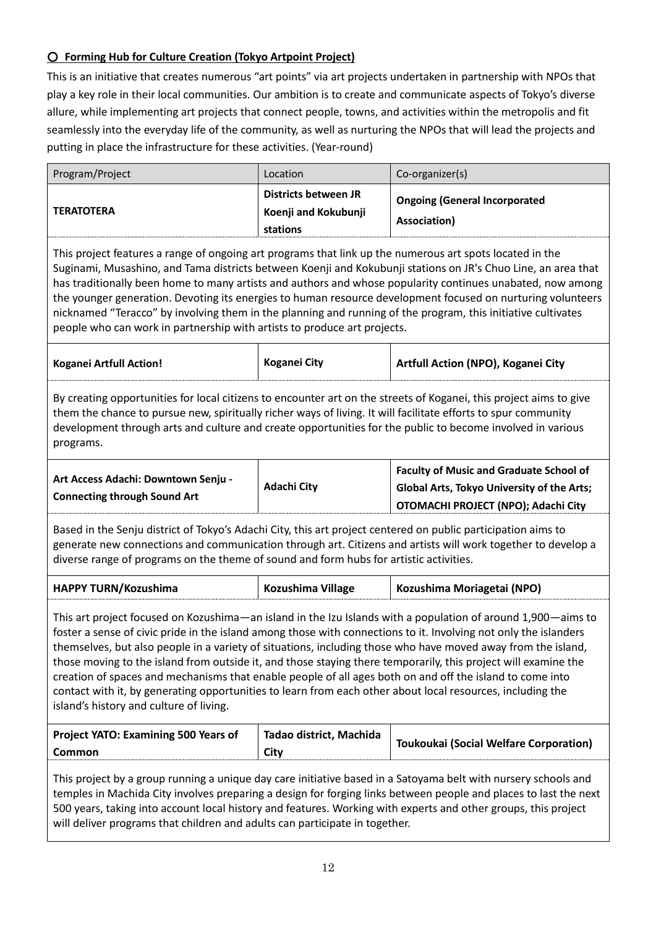### ○ **Forming Hub for Culture Creation (Tokyo Artpoint Project)**

This is an initiative that creates numerous "art points" via art projects undertaken in partnership with NPOs that play a key role in their local communities. Our ambition is to create and communicate aspects of Tokyo's diverse allure, while implementing art projects that connect people, towns, and activities within the metropolis and fit seamlessly into the everyday life of the community, as well as nurturing the NPOs that will lead the projects and putting in place the infrastructure for these activities. (Year-round)

| Program/Project   | Location                                                        | Co-organizer(s)                                      |
|-------------------|-----------------------------------------------------------------|------------------------------------------------------|
| <b>TERATOTERA</b> | <b>Districts between JR</b><br>Koenji and Kokubunji<br>stations | <b>Ongoing (General Incorporated</b><br>Association) |

This project features a range of ongoing art programs that link up the numerous art spots located in the Suginami, Musashino, and Tama districts between Koenji and Kokubunji stations on JR's Chuo Line, an area that has traditionally been home to many artists and authors and whose popularity continues unabated, now among the younger generation. Devoting its energies to human resource development focused on nurturing volunteers nicknamed "Teracco" by involving them in the planning and running of the program, this initiative cultivates people who can work in partnership with artists to produce art projects.

| <b>Koganei Artfull Action!</b> | <b>Koganei City</b> | Artfull Action (NPO), Koganei City |
|--------------------------------|---------------------|------------------------------------|
|                                |                     |                                    |

By creating opportunities for local citizens to encounter art on the streets of Koganei, this project aims to give them the chance to pursue new, spiritually richer ways of living. It will facilitate efforts to spur community development through arts and culture and create opportunities for the public to become involved in various programs.

| Art Access Adachi: Downtown Senju - | <b>Adachi City</b> | <b>Faculty of Music and Graduate School of</b><br><b>Global Arts, Tokyo University of the Arts;</b> |
|-------------------------------------|--------------------|-----------------------------------------------------------------------------------------------------|
| <b>Connecting through Sound Art</b> |                    | OTOMACHI PROJECT (NPO); Adachi City                                                                 |

Based in the Senju district of Tokyo's Adachi City, this art project centered on public participation aims to generate new connections and communication through art. Citizens and artists will work together to develop a diverse range of programs on the theme of sound and form hubs for artistic activities.

| <b>HAPPY TURN/Kozushima</b> | Kozushima Village | Kozushima Moriagetai (NPO) |
|-----------------------------|-------------------|----------------------------|
|                             |                   |                            |

This art project focused on Kozushima—an island in the Izu Islands with a population of around 1,900—aims to foster a sense of civic pride in the island among those with connections to it. Involving not only the islanders themselves, but also people in a variety of situations, including those who have moved away from the island, those moving to the island from outside it, and those staying there temporarily, this project will examine the creation of spaces and mechanisms that enable people of all ages both on and off the island to come into contact with it, by generating opportunities to learn from each other about local resources, including the island's history and culture of living.

| <b>Project YATO: Examining 500 Years of</b> | Tadao district, Machida | Toukoukai (Social Welfare Corporation) |
|---------------------------------------------|-------------------------|----------------------------------------|
| <b>Common</b>                               | City                    |                                        |

This project by a group running a unique day care initiative based in a Satoyama belt with nursery schools and temples in Machida City involves preparing a design for forging links between people and places to last the next 500 years, taking into account local history and features. Working with experts and other groups, this project will deliver programs that children and adults can participate in together.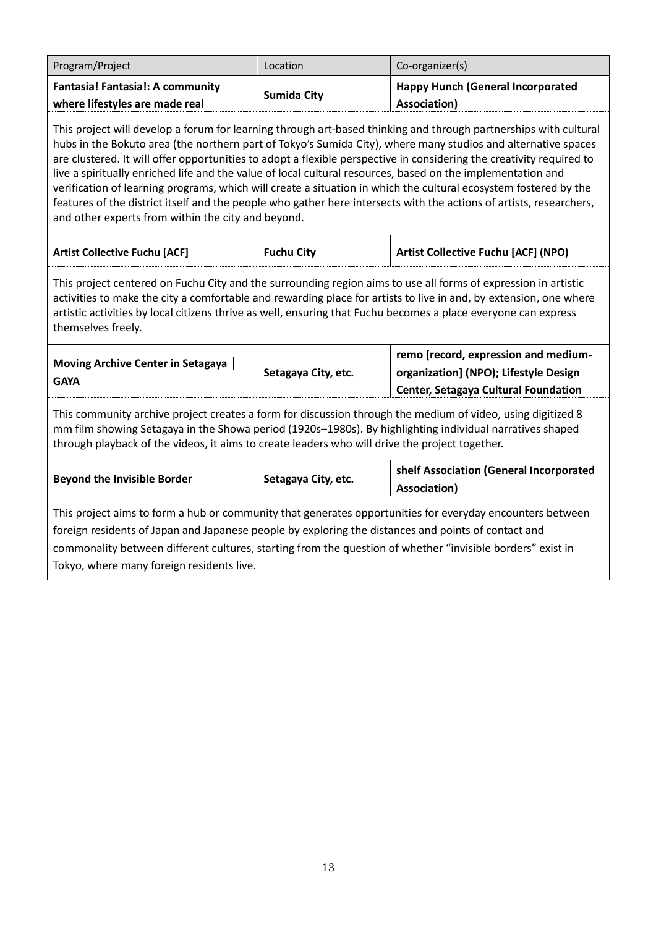| Program/Project                                                                                                                                                                                                                                                                                                                                                                                                                                                                                                                                                                                                                                                                                                                                                           | Location            | Co-organizer(s)                                                                                                       |  |
|---------------------------------------------------------------------------------------------------------------------------------------------------------------------------------------------------------------------------------------------------------------------------------------------------------------------------------------------------------------------------------------------------------------------------------------------------------------------------------------------------------------------------------------------------------------------------------------------------------------------------------------------------------------------------------------------------------------------------------------------------------------------------|---------------------|-----------------------------------------------------------------------------------------------------------------------|--|
| Fantasia! Fantasia!: A community<br>where lifestyles are made real                                                                                                                                                                                                                                                                                                                                                                                                                                                                                                                                                                                                                                                                                                        | <b>Sumida City</b>  | <b>Happy Hunch (General Incorporated</b><br>Association)                                                              |  |
| This project will develop a forum for learning through art-based thinking and through partnerships with cultural<br>hubs in the Bokuto area (the northern part of Tokyo's Sumida City), where many studios and alternative spaces<br>are clustered. It will offer opportunities to adopt a flexible perspective in considering the creativity required to<br>live a spiritually enriched life and the value of local cultural resources, based on the implementation and<br>verification of learning programs, which will create a situation in which the cultural ecosystem fostered by the<br>features of the district itself and the people who gather here intersects with the actions of artists, researchers,<br>and other experts from within the city and beyond. |                     |                                                                                                                       |  |
| <b>Artist Collective Fuchu [ACF]</b>                                                                                                                                                                                                                                                                                                                                                                                                                                                                                                                                                                                                                                                                                                                                      | <b>Fuchu City</b>   | <b>Artist Collective Fuchu [ACF] (NPO)</b>                                                                            |  |
| This project centered on Fuchu City and the surrounding region aims to use all forms of expression in artistic<br>activities to make the city a comfortable and rewarding place for artists to live in and, by extension, one where<br>artistic activities by local citizens thrive as well, ensuring that Fuchu becomes a place everyone can express<br>themselves freely.                                                                                                                                                                                                                                                                                                                                                                                               |                     |                                                                                                                       |  |
| Moving Archive Center in Setagaya  <br><b>GAYA</b>                                                                                                                                                                                                                                                                                                                                                                                                                                                                                                                                                                                                                                                                                                                        | Setagaya City, etc. | remo [record, expression and medium-<br>organization] (NPO); Lifestyle Design<br>Center, Setagaya Cultural Foundation |  |
| This community archive project creates a form for discussion through the medium of video, using digitized 8<br>mm film showing Setagaya in the Showa period (1920s-1980s). By highlighting individual narratives shaped<br>through playback of the videos, it aims to create leaders who will drive the project together.                                                                                                                                                                                                                                                                                                                                                                                                                                                 |                     |                                                                                                                       |  |
| <b>Beyond the Invisible Border</b>                                                                                                                                                                                                                                                                                                                                                                                                                                                                                                                                                                                                                                                                                                                                        | Setagaya City, etc. | shelf Association (General Incorporated<br>Association)                                                               |  |
| This project aims to form a hub or community that generates opportunities for everyday encounters between<br>foreign residents of Japan and Japanese people by exploring the distances and points of contact and<br>commonality between different cultures, starting from the question of whether "invisible borders" exist in<br>Tokyo, where many foreign residents live.                                                                                                                                                                                                                                                                                                                                                                                               |                     |                                                                                                                       |  |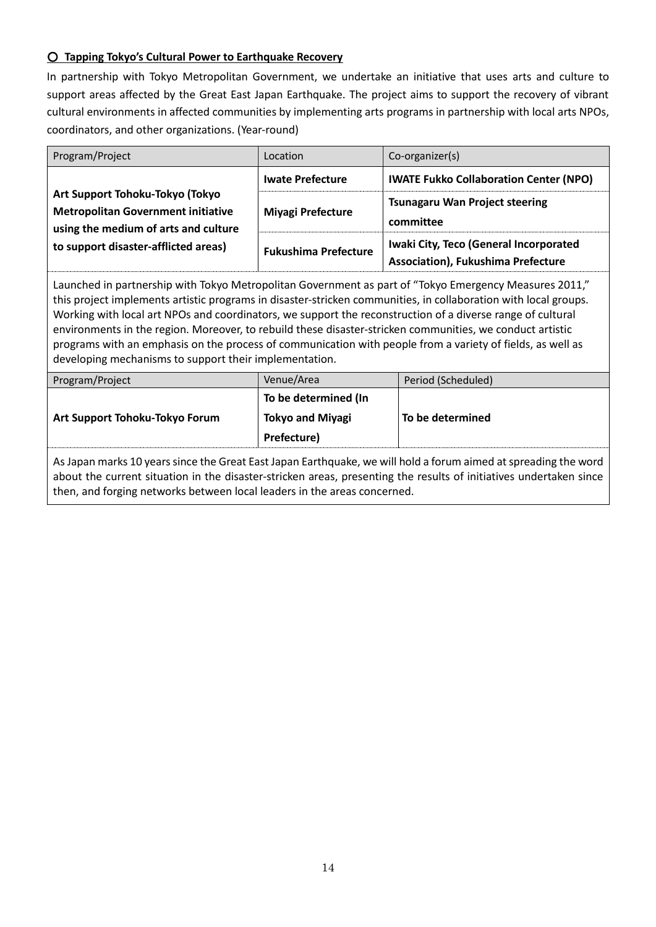### ○ **Tapping Tokyo's Cultural Power to Earthquake Recovery**

In partnership with Tokyo Metropolitan Government, we undertake an initiative that uses arts and culture to support areas affected by the Great East Japan Earthquake. The project aims to support the recovery of vibrant cultural environments in affected communities by implementing arts programs in partnership with local arts NPOs, coordinators, and other organizations. (Year-round)

| Program/Project                                                                                                                                                                                                                                                                                                                                                                                                                                                                                                                                                                                                              | Location                    | Co-organizer(s)                                                                     |
|------------------------------------------------------------------------------------------------------------------------------------------------------------------------------------------------------------------------------------------------------------------------------------------------------------------------------------------------------------------------------------------------------------------------------------------------------------------------------------------------------------------------------------------------------------------------------------------------------------------------------|-----------------------------|-------------------------------------------------------------------------------------|
|                                                                                                                                                                                                                                                                                                                                                                                                                                                                                                                                                                                                                              | <b>Iwate Prefecture</b>     | <b>IWATE Fukko Collaboration Center (NPO)</b>                                       |
| Art Support Tohoku-Tokyo (Tokyo<br><b>Metropolitan Government initiative</b><br>using the medium of arts and culture                                                                                                                                                                                                                                                                                                                                                                                                                                                                                                         | Miyagi Prefecture           | <b>Tsunagaru Wan Project steering</b><br>committee                                  |
| to support disaster-afflicted areas)                                                                                                                                                                                                                                                                                                                                                                                                                                                                                                                                                                                         | <b>Fukushima Prefecture</b> | Iwaki City, Teco (General Incorporated<br><b>Association), Fukushima Prefecture</b> |
| Launched in partnership with Tokyo Metropolitan Government as part of "Tokyo Emergency Measures 2011,"<br>this project implements artistic programs in disaster-stricken communities, in collaboration with local groups.<br>Working with local art NPOs and coordinators, we support the reconstruction of a diverse range of cultural<br>environments in the region. Moreover, to rebuild these disaster-stricken communities, we conduct artistic<br>programs with an emphasis on the process of communication with people from a variety of fields, as well as<br>developing mechanisms to support their implementation. |                             |                                                                                     |

| Program/Project                | Venue/Area              | Period (Scheduled) |
|--------------------------------|-------------------------|--------------------|
|                                | To be determined (In    |                    |
| Art Support Tohoku-Tokyo Forum | <b>Tokyo and Miyagi</b> | To be determined   |
|                                | Prefecture)             |                    |
|                                |                         |                    |

As Japan marks 10 years since the Great East Japan Earthquake, we will hold a forum aimed at spreading the word about the current situation in the disaster-stricken areas, presenting the results of initiatives undertaken since then, and forging networks between local leaders in the areas concerned.